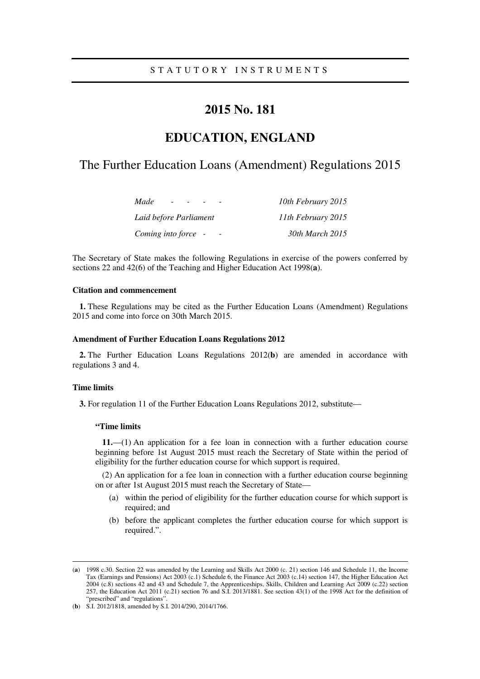# **2015 No. 181**

# **EDUCATION, ENGLAND**

# The Further Education Loans (Amendment) Regulations 2015

| Made<br>$\sim$         | 10th February 2015 |
|------------------------|--------------------|
| Laid before Parliament | 11th February 2015 |
| Coming into force -    | 30th March 2015    |

The Secretary of State makes the following Regulations in exercise of the powers conferred by sections 22 and 42(6) of the Teaching and Higher Education Act 1998(**a**).

### **Citation and commencement**

**1.** These Regulations may be cited as the Further Education Loans (Amendment) Regulations 2015 and come into force on 30th March 2015.

#### **Amendment of Further Education Loans Regulations 2012**

**2.** The Further Education Loans Regulations 2012(**b**) are amended in accordance with regulations 3 and 4.

## **Time limits**

<u>.</u>

**3.** For regulation 11 of the Further Education Loans Regulations 2012, substitute—

### **"Time limits**

**11.**—(1) An application for a fee loan in connection with a further education course beginning before 1st August 2015 must reach the Secretary of State within the period of eligibility for the further education course for which support is required.

(2) An application for a fee loan in connection with a further education course beginning on or after 1st August 2015 must reach the Secretary of State—

- (a) within the period of eligibility for the further education course for which support is required; and
- (b) before the applicant completes the further education course for which support is required.".

<sup>(</sup>**a**) 1998 c.30. Section 22 was amended by the Learning and Skills Act 2000 (c. 21) section 146 and Schedule 11, the Income Tax (Earnings and Pensions) Act 2003 (c.1) Schedule 6, the Finance Act 2003 (c.14) section 147, the Higher Education Act 2004 (c.8) sections 42 and 43 and Schedule 7, the Apprenticeships, Skills, Children and Learning Act 2009 (c.22) section 257, the Education Act 2011 (c.21) section 76 and S.I. 2013/1881. See section 43(1) of the 1998 Act for the definition of "prescribed" and "regulations"

<sup>(</sup>**b**) S.I. 2012/1818, amended by S.I. 2014/290, 2014/1766.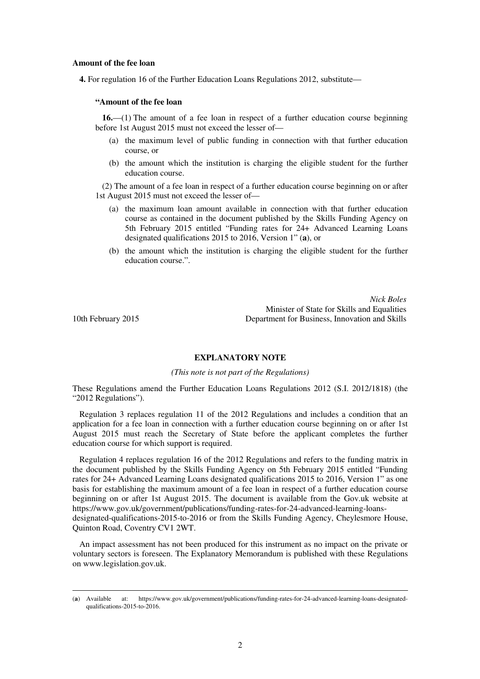#### **Amount of the fee loan**

**4.** For regulation 16 of the Further Education Loans Regulations 2012, substitute—

### **"Amount of the fee loan**

**16.**—(1) The amount of a fee loan in respect of a further education course beginning before 1st August 2015 must not exceed the lesser of—

- (a) the maximum level of public funding in connection with that further education course, or
- (b) the amount which the institution is charging the eligible student for the further education course.

(2) The amount of a fee loan in respect of a further education course beginning on or after 1st August 2015 must not exceed the lesser of—

- (a) the maximum loan amount available in connection with that further education course as contained in the document published by the Skills Funding Agency on 5th February 2015 entitled "Funding rates for 24+ Advanced Learning Loans designated qualifications 2015 to 2016, Version 1" (**a**), or
- (b) the amount which the institution is charging the eligible student for the further education course.".

*Nick Boles* Minister of State for Skills and Equalities 10th February 2015 Department for Business, Innovation and Skills

<u>.</u>

### **EXPLANATORY NOTE**

#### *(This note is not part of the Regulations)*

These Regulations amend the Further Education Loans Regulations 2012 (S.I. 2012/1818) (the "2012 Regulations").

Regulation 3 replaces regulation 11 of the 2012 Regulations and includes a condition that an application for a fee loan in connection with a further education course beginning on or after 1st August 2015 must reach the Secretary of State before the applicant completes the further education course for which support is required.

Regulation 4 replaces regulation 16 of the 2012 Regulations and refers to the funding matrix in the document published by the Skills Funding Agency on 5th February 2015 entitled "Funding rates for 24+ Advanced Learning Loans designated qualifications 2015 to 2016, Version 1" as one basis for establishing the maximum amount of a fee loan in respect of a further education course beginning on or after 1st August 2015. The document is available from the Gov.uk website at https://www.gov.uk/government/publications/funding-rates-for-24-advanced-learning-loansdesignated-qualifications-2015-to-2016 or from the Skills Funding Agency, Cheylesmore House, Quinton Road, Coventry CV1 2WT.

An impact assessment has not been produced for this instrument as no impact on the private or voluntary sectors is foreseen. The Explanatory Memorandum is published with these Regulations on www.legislation.gov.uk.

<sup>(</sup>**a**) Available at: https://www.gov.uk/government/publications/funding-rates-for-24-advanced-learning-loans-designatedqualifications-2015-to-2016.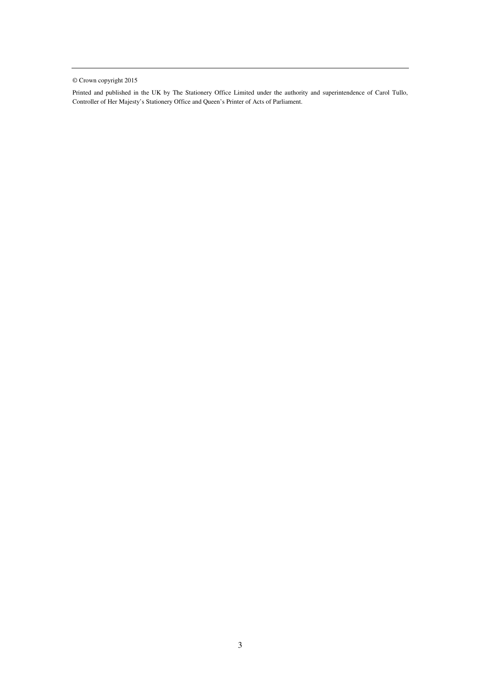© Crown copyright 2015

Printed and published in the UK by The Stationery Office Limited under the authority and superintendence of Carol Tullo, Controller of Her Majesty's Stationery Office and Queen's Printer of Acts of Parliament.